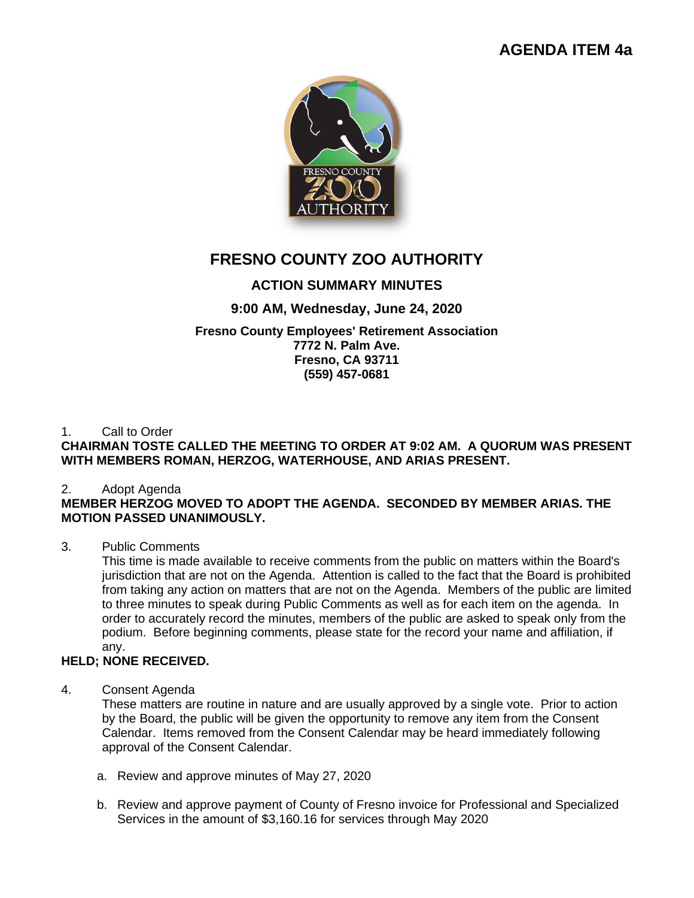# **AGENDA ITEM 4a**



# **FRESNO COUNTY ZOO AUTHORITY**

# **ACTION SUMMARY MINUTES**

## **9:00 AM, Wednesday, June 24, 2020**

### **Fresno County Employees' Retirement Association 7772 N. Palm Ave. Fresno, CA 93711 (559) 457-0681**

## 1. Call to Order

## **CHAIRMAN TOSTE CALLED THE MEETING TO ORDER AT 9:02 AM. A QUORUM WAS PRESENT WITH MEMBERS ROMAN, HERZOG, WATERHOUSE, AND ARIAS PRESENT.**

## 2. Adopt Agenda

## **MEMBER HERZOG MOVED TO ADOPT THE AGENDA. SECONDED BY MEMBER ARIAS. THE MOTION PASSED UNANIMOUSLY.**

## 3. Public Comments

This time is made available to receive comments from the public on matters within the Board's jurisdiction that are not on the Agenda. Attention is called to the fact that the Board is prohibited from taking any action on matters that are not on the Agenda. Members of the public are limited to three minutes to speak during Public Comments as well as for each item on the agenda. In order to accurately record the minutes, members of the public are asked to speak only from the podium. Before beginning comments, please state for the record your name and affiliation, if any.

## **HELD; NONE RECEIVED.**

## 4. Consent Agenda

These matters are routine in nature and are usually approved by a single vote. Prior to action by the Board, the public will be given the opportunity to remove any item from the Consent Calendar. Items removed from the Consent Calendar may be heard immediately following approval of the Consent Calendar.

- a. Review and approve minutes of May 27, 2020
- b. Review and approve payment of County of Fresno invoice for Professional and Specialized Services in the amount of \$3,160.16 for services through May 2020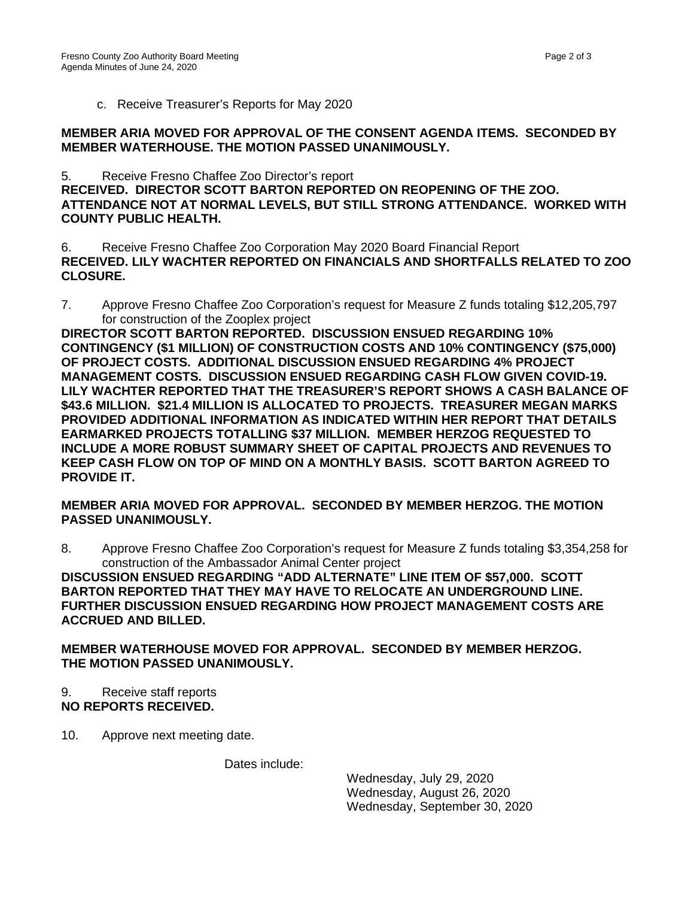c. Receive Treasurer's Reports for May 2020

#### **MEMBER ARIA MOVED FOR APPROVAL OF THE CONSENT AGENDA ITEMS. SECONDED BY MEMBER WATERHOUSE. THE MOTION PASSED UNANIMOUSLY.**

5. Receive Fresno Chaffee Zoo Director's report **RECEIVED. DIRECTOR SCOTT BARTON REPORTED ON REOPENING OF THE ZOO. ATTENDANCE NOT AT NORMAL LEVELS, BUT STILL STRONG ATTENDANCE. WORKED WITH COUNTY PUBLIC HEALTH.**

6. Receive Fresno Chaffee Zoo Corporation May 2020 Board Financial Report **RECEIVED. LILY WACHTER REPORTED ON FINANCIALS AND SHORTFALLS RELATED TO ZOO CLOSURE.**

7. Approve Fresno Chaffee Zoo Corporation's request for Measure Z funds totaling \$12,205,797 for construction of the Zooplex project

**DIRECTOR SCOTT BARTON REPORTED. DISCUSSION ENSUED REGARDING 10% CONTINGENCY (\$1 MILLION) OF CONSTRUCTION COSTS AND 10% CONTINGENCY (\$75,000) OF PROJECT COSTS. ADDITIONAL DISCUSSION ENSUED REGARDING 4% PROJECT MANAGEMENT COSTS. DISCUSSION ENSUED REGARDING CASH FLOW GIVEN COVID-19. LILY WACHTER REPORTED THAT THE TREASURER'S REPORT SHOWS A CASH BALANCE OF \$43.6 MILLION. \$21.4 MILLION IS ALLOCATED TO PROJECTS. TREASURER MEGAN MARKS PROVIDED ADDITIONAL INFORMATION AS INDICATED WITHIN HER REPORT THAT DETAILS EARMARKED PROJECTS TOTALLING \$37 MILLION. MEMBER HERZOG REQUESTED TO INCLUDE A MORE ROBUST SUMMARY SHEET OF CAPITAL PROJECTS AND REVENUES TO KEEP CASH FLOW ON TOP OF MIND ON A MONTHLY BASIS. SCOTT BARTON AGREED TO PROVIDE IT.** 

### **MEMBER ARIA MOVED FOR APPROVAL. SECONDED BY MEMBER HERZOG. THE MOTION PASSED UNANIMOUSLY.**

8. Approve Fresno Chaffee Zoo Corporation's request for Measure Z funds totaling \$3,354,258 for construction of the Ambassador Animal Center project

**DISCUSSION ENSUED REGARDING "ADD ALTERNATE" LINE ITEM OF \$57,000. SCOTT BARTON REPORTED THAT THEY MAY HAVE TO RELOCATE AN UNDERGROUND LINE. FURTHER DISCUSSION ENSUED REGARDING HOW PROJECT MANAGEMENT COSTS ARE ACCRUED AND BILLED.** 

**MEMBER WATERHOUSE MOVED FOR APPROVAL. SECONDED BY MEMBER HERZOG. THE MOTION PASSED UNANIMOUSLY.** 

- 9. Receive staff reports **NO REPORTS RECEIVED.**
- 10. Approve next meeting date.

Dates include:

Wednesday, July 29, 2020 Wednesday, August 26, 2020 Wednesday, September 30, 2020